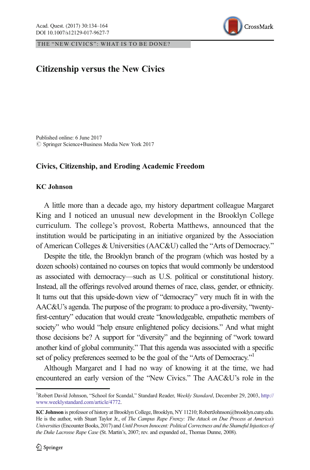

THE "NEW CIVICS": WHAT IS TO BE DONE?

# Citizenship versus the New Civics

 $\oslash$  Springer Science+Business Media New York 2017 Published online: 6 June 2017

## Civics, Citizenship, and Eroding Academic Freedom

### KC Johnson

A little more than a decade ago, my history department colleague Margaret King and I noticed an unusual new development in the Brooklyn College curriculum. The college's provost, Roberta Matthews, announced that the institution would be participating in an initiative organized by the Association of American Colleges & Universities (AAC&U) called the "Arts of Democracy."

Despite the title, the Brooklyn branch of the program (which was hosted by a dozen schools) contained no courses on topics that would commonly be understood as associated with democracy—such as U.S. political or constitutional history. Instead, all the offerings revolved around themes of race, class, gender, or ethnicity. It turns out that this upside-down view of "democracy" very much fit in with the AAC&U's agenda. The purpose of the program: to produce a pro-diversity, "twentyfirst-century" education that would create "knowledgeable, empathetic members of society" who would "help ensure enlightened policy decisions." And what might those decisions be? A support for "diversity" and the beginning of "work toward another kind of global community." That this agenda was associated with a specific set of policy preferences seemed to be the goal of the "Arts of Democracy."<sup>1</sup>

Although Margaret and I had no way of knowing it at the time, we had encountered an early version of the "New Civics." The AAC&U's role in the

<sup>&</sup>lt;sup>1</sup>Robert David Johnson, "School for Scandal," Standard Reader, Weekly Standard, December 29, 2003, [http://](http://www.weeklystandard.com/article/4772) [www.weeklystandard.com/article/4772.](http://www.weeklystandard.com/article/4772)

KC Johnson is professor of history at Brooklyn College, Brooklyn, NY 11210; RobertJohnson@brooklyn.cuny.edu. He is the author, with Stuart Taylor Jr., of The Campus Rape Frenzy: The Attack on Due Process at America's Universities(Encounter Books, 2017) and Until Proven Innocent: Political Correctness and the Shameful Injustices of the Duke Lacrosse Rape Case (St. Martin's, 2007; rev. and expanded ed., Thomas Dunne, 2008).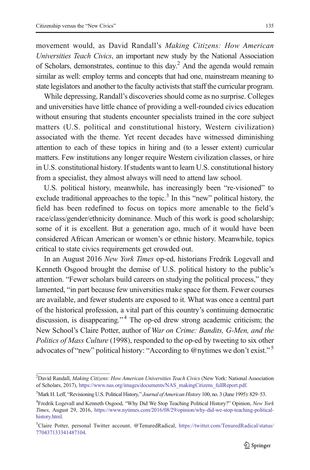movement would, as David Randall's Making Citizens: How American Universities Teach Civics, an important new study by the National Association of Scholars, demonstrates, continue to this day.<sup>2</sup> And the agenda would remain similar as well: employ terms and concepts that had one, mainstream meaning to state legislators and another to the faculty activists that staff the curricular program.

While depressing, Randall's discoveries should come as no surprise. Colleges and universities have little chance of providing a well-rounded civics education without ensuring that students encounter specialists trained in the core subject matters (U.S. political and constitutional history, Western civilization) associated with the theme. Yet recent decades have witnessed diminishing attention to each of these topics in hiring and (to a lesser extent) curricular matters. Few institutions any longer require Western civilization classes, or hire in U.S. constitutional history. If students want to learn U.S. constitutional history from a specialist, they almost always will need to attend law school.

U.S. political history, meanwhile, has increasingly been "re-visioned" to exclude traditional approaches to the topic. $3$  In this "new" political history, the field has been redefined to focus on topics more amenable to the field's race/class/gender/ethnicity dominance. Much of this work is good scholarship; some of it is excellent. But a generation ago, much of it would have been considered African American or women's or ethnic history. Meanwhile, topics critical to state civics requirements get crowded out.

In an August 2016 New York Times op-ed, historians Fredrik Logevall and Kenneth Osgood brought the demise of U.S. political history to the public's attention. "Fewer scholars build careers on studying the political process," they lamented, "in part because few universities make space for them. Fewer courses are available, and fewer students are exposed to it. What was once a central part of the historical profession, a vital part of this country's continuing democratic discussion, is disappearing."<sup>4</sup> The op-ed drew strong academic criticism; the New School's Claire Potter, author of War on Crime: Bandits, G-Men, and the Politics of Mass Culture (1998), responded to the op-ed by tweeting to six other advocates of "new" political history: "According to @nytimes we don't exist." <sup>5</sup>

<sup>&</sup>lt;sup>2</sup>David Randall, Making Citizens: How American Universities Teach Civics (New York: National Association of Scholars, 2017), [https://www.nas.org/images/documents/NAS\\_makingCitizens\\_fullReport.pdf](https://www.nas.org/images/documents/NAS_makingCitizens_fullReport.pdf).

<sup>&</sup>lt;sup>3</sup>Mark H. Leff, "Revisioning U.S. Political History," Journal of American History 100, no. 3 (June 1995): 829-53.

<sup>&</sup>lt;sup>4</sup>Fredrik Logevall and Kenneth Osgood, "Why Did We Stop Teaching Political History?" Opinion, New York Times, August 29, 2016, [https://www.nytimes.com/2016/08/29/opinion/why-did-we-stop-teaching-political](https://www.nytimes.com/2016/08/29/opinion/why-did-we-stop-teaching-political-history.html)[history.html.](https://www.nytimes.com/2016/08/29/opinion/why-did-we-stop-teaching-political-history.html)

<sup>&</sup>lt;sup>5</sup>Claire Potter, personal Twitter account, @TenuredRadical, [https://twitter.com/TenuredRadical/status/](https://twitter.com/TenuredRadical/status/770437133341487104) [770437133341487104.](https://twitter.com/TenuredRadical/status/770437133341487104)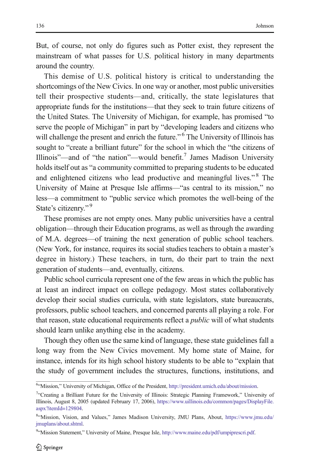But, of course, not only do figures such as Potter exist, they represent the mainstream of what passes for U.S. political history in many departments around the country.

This demise of U.S. political history is critical to understanding the shortcomings of the New Civics. In one way or another, most public universities tell their prospective students—and, critically, the state legislatures that appropriate funds for the institutions—that they seek to train future citizens of the United States. The University of Michigan, for example, has promised "to serve the people of Michigan" in part by "developing leaders and citizens who will challenge the present and enrich the future."<sup>6</sup> The University of Illinois has sought to "create a brilliant future" for the school in which the "the citizens of Illinois"—and of "the nation"—would benefit.7 James Madison University holds itself out as "a community committed to preparing students to be educated and enlightened citizens who lead productive and meaningful lives."<sup>8</sup> The University of Maine at Presque Isle affirms—"as central to its mission," no less—a commitment to "public service which promotes the well-being of the State's citizenry." <sup>9</sup>

These promises are not empty ones. Many public universities have a central obligation—through their Education programs, as well as through the awarding of M.A. degrees—of training the next generation of public school teachers. (New York, for instance, requires its social studies teachers to obtain a master's degree in history.) These teachers, in turn, do their part to train the next generation of students—and, eventually, citizens.

Public school curricula represent one of the few areas in which the public has at least an indirect impact on college pedagogy. Most states collaboratively develop their social studies curricula, with state legislators, state bureaucrats, professors, public school teachers, and concerned parents all playing a role. For that reason, state educational requirements reflect a *public* will of what students should learn unlike anything else in the academy.

Though they often use the same kind of language, these state guidelines fall a long way from the New Civics movement. My home state of Maine, for instance, intends for its high school history students to be able to "explain that the study of government includes the structures, functions, institutions, and

<sup>6</sup> "Mission," University of Michigan, Office of the President, <http://president.umich.edu/about/mission>.

<sup>&</sup>lt;sup>7</sup>"Creating a Brilliant Future for the University of Illinois: Strategic Planning Framework," University of Illinois, August 8, 2005 (updated February 17, 2006), [https://www.uillinois.edu/common/pages/DisplayFile.](https://www.uillinois.edu/common/pages/DisplayFile.aspx?itemId=129804) [aspx?itemId=129804.](https://www.uillinois.edu/common/pages/DisplayFile.aspx?itemId=129804)

<sup>8&</sup>quot;Mission, Vision, and Values," James Madison University, JMU Plans, About, [https://www.jmu.edu/](https://www.jmu.edu/jmuplans/about.shtml) [jmuplans/about.shtml](https://www.jmu.edu/jmuplans/about.shtml).

<sup>&</sup>lt;sup>9</sup>"Mission Statement," University of Maine, Presque Isle, [http://www.maine.edu/pdf/umpiprescri.pdf.](http://www.maine.edu/pdf/umpiprescri.pdf)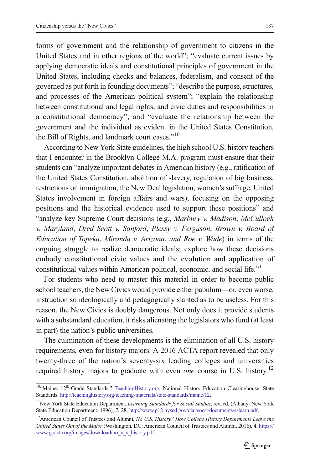forms of government and the relationship of government to citizens in the United States and in other regions of the world"; "evaluate current issues by applying democratic ideals and constitutional principles of government in the United States, including checks and balances, federalism, and consent of the governed as put forth in founding documents"; "describe the purpose, structures, and processes of the American political system"; "explain the relationship between constitutional and legal rights, and civic duties and responsibilities in a constitutional democracy"; and "evaluate the relationship between the government and the individual as evident in the United States Constitution, the Bill of Rights, and landmark court cases."<sup>10</sup>

According to New York State guidelines, the high school U.S. history teachers that I encounter in the Brooklyn College M.A. program must ensure that their students can "analyze important debates in American history (e.g., ratification of the United States Constitution, abolition of slavery, regulation of big business, restrictions on immigration, the New Deal legislation, women's suffrage, United States involvement in foreign affairs and wars), focusing on the opposing positions and the historical evidence used to support these positions" and "analyze key Supreme Court decisions (e.g., Marbury v. Madison, McCulloch v. Maryland, Dred Scott v. Sanford, Plessy v. Ferguson, Brown v. Board of Education of Topeka, Miranda v. Arizona, and Roe v. Wade) in terms of the ongoing struggle to realize democratic ideals; explore how these decisions embody constitutional civic values and the evolution and application of constitutional values within American political, economic, and social life."<sup>11</sup>

For students who need to master this material in order to become public school teachers, the New Civics would provide either pabulum—or, even worse, instruction so ideologically and pedagogically slanted as to be useless. For this reason, the New Civics is doubly dangerous. Not only does it provide students with a substandard education, it risks alienating the legislators who fund (at least in part) the nation's public universities.

The culmination of these developments is the elimination of all U.S. history requirements, even for history majors. A 2016 ACTA report revealed that only twenty-three of the nation's seventy-six leading colleges and universities required history majors to graduate with even *one* course in U.S. history.<sup>12</sup>

<sup>&</sup>lt;sup>10</sup>"Maine: 12<sup>th</sup>-Grade Standards," [TeachingHistory.org,](http://teachinghistory.org) National History Education Clearinghouse, State Standards, [http://teachinghistory.org/teaching-materials/state-standards/maine/12.](http://teachinghistory.org/teaching-materials/state-standards/maine/12)

<sup>&</sup>lt;sup>11</sup>New York State Education Department, Learning Standards for Social Studies, rev. ed. (Albany: New York State Education Department, 1996), 7, 28, <http://www.p12.nysed.gov/ciai/socst/documents/sslearn.pdf>.

<sup>&</sup>lt;sup>12</sup>American Council of Trustees and Alumni, No U.S. History? How College History Departments Leave the United States Out of the Major (Washington, DC: American Council of Trustees and Alumni, 2016), 4, [https://](https://www.goacta.org/images/download/no_u_s_history.pdf) [www.goacta.org/images/download/no\\_u\\_s\\_history.pdf](https://www.goacta.org/images/download/no_u_s_history.pdf).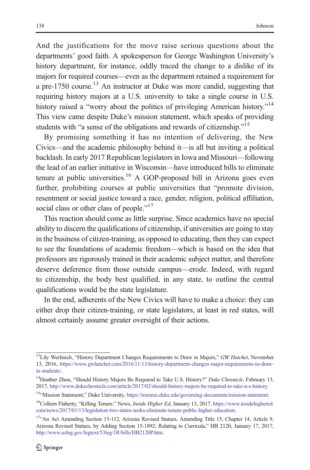And the justifications for the move raise serious questions about the departments' good faith. A spokesperson for George Washington University's history department, for instance, oddly traced the change to a dislike of its majors for required courses—even as the department retained a requirement for a pre-1750 course.<sup>13</sup> An instructor at Duke was more candid, suggesting that requiring history majors at a U.S. university to take a single course in U.S. history raised a "worry about the politics of privileging American history."<sup>14</sup> This view came despite Duke's mission statement, which speaks of providing students with "a sense of the obligations and rewards of citizenship."<sup>15</sup>

By promising something it has no intention of delivering, the New Civics—and the academic philosophy behind it—is all but inviting a political backlash. In early 2017 Republican legislators in Iowa and Missouri—following the lead of an earlier initiative in Wisconsin—have introduced bills to eliminate tenure at public universities.<sup>16</sup> A GOP-proposed bill in Arizona goes even further, prohibiting courses at public universities that "promote division, resentment or social justice toward a race, gender, religion, political affiliation, social class or other class of people."<sup>17</sup>

This reaction should come as little surprise. Since academics have no special ability to discern the qualifications of citizenship, if universities are going to stay in the business of citizen-training, as opposed to educating, then they can expect to see the foundations of academic freedom—which is based on the idea that professors are rigorously trained in their academic subject matter, and therefore deserve deference from those outside campus—erode. Indeed, with regard to citizenship, the body best qualified, in any state, to outline the central qualifications would be the state legislature.

In the end, adherents of the New Civics will have to make a choice: they can either drop their citizen-training, or state legislators, at least in red states, will almost certainly assume greater oversight of their actions.

 $13$ Lily Werlinich, "History Department Changes Requirements to Draw in Majors," GW Hatchet, November 13, 2016, [https://www.gwhatchet.com/2016/11/13/history-department-changes-major-requirements-to-draw](https://www.gwhatchet.com/2016/11/13/history-department-changes-major-requirements-to-draw-in-students/)[in-students/.](https://www.gwhatchet.com/2016/11/13/history-department-changes-major-requirements-to-draw-in-students/)

<sup>&</sup>lt;sup>14</sup>Heather Zhou, "Should History Majors Be Required to Take U.S. History?" Duke Chronicle, February 13, 2017, [http://www.dukechronicle.com/article/2017/02/should-history-majors-be-required-to-take-u-s-history.](http://www.dukechronicle.com/article/2017/02/should-history-majors-be-required-to-take-u-s-history)

<sup>15</sup>"Mission Statement," Duke University, <https://trustees.duke.edu/governing-documents/mission-statement>.

<sup>&</sup>lt;sup>16</sup>Colleen Flaherty, "Killing Tenure," News, *Inside Higher Ed*, January 13, 2017, [https://www.insidehighered.](https://www.insidehighered.com/news/2017/01/13/legislation-two-states-seeks-eliminate-tenure-public-higher-education) [com/news/2017/01/13/legislation-two-states-seeks-eliminate-tenure-public-higher-education](https://www.insidehighered.com/news/2017/01/13/legislation-two-states-seeks-eliminate-tenure-public-higher-education).

<sup>&</sup>lt;sup>17</sup>"An Act Amending Section 15-112, Arizona Revised Statues, Amending Title 15, Chapter 14, Article 9, Arizona Revised Statues, by Adding Section 15-1892; Relating to Curricula," HB 2120, January 17, 2017, [http://www.azleg.gov/legtext/53leg/1R/bills/HB2120P.htm.](http://www.azleg.gov/legtext/53leg/1R/bills/HB2120P.htm)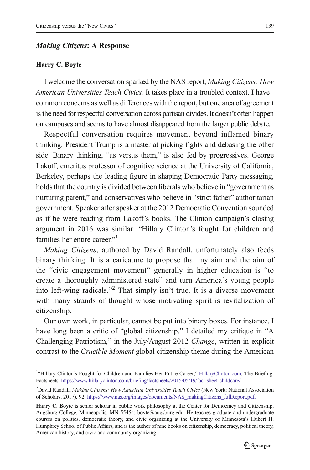### Making Citizens: A Response

#### Harry C. Boyte

I welcome the conversation sparked by the NAS report, Making Citizens: How American Universities Teach Civics. It takes place in a troubled context. I have common concerns as well as differences with the report, but one area of agreement is the need for respectful conversation across partisan divides. It doesn't often happen on campuses and seems to have almost disappeared from the larger public debate.

Respectful conversation requires movement beyond inflamed binary thinking. President Trump is a master at picking fights and debasing the other side. Binary thinking, "us versus them," is also fed by progressives. George Lakoff, emeritus professor of cognitive science at the University of California, Berkeley, perhaps the leading figure in shaping Democratic Party messaging, holds that the country is divided between liberals who believe in "government as nurturing parent," and conservatives who believe in "strict father" authoritarian government. Speaker after speaker at the 2012 Democratic Convention sounded as if he were reading from Lakoff's books. The Clinton campaign's closing argument in 2016 was similar: "Hillary Clinton's fought for children and families her entire career."<sup>1</sup>

Making Citizens, authored by David Randall, unfortunately also feeds binary thinking. It is a caricature to propose that my aim and the aim of the "civic engagement movement" generally in higher education is "to create a thoroughly administered state" and turn America's young people into left-wing radicals."<sup>2</sup> That simply isn't true. It is a diverse movement with many strands of thought whose motivating spirit is revitalization of citizenship.

Our own work, in particular, cannot be put into binary boxes. For instance, I have long been a critic of "global citizenship." I detailed my critique in "A Challenging Patriotism," in the July/August 2012 Change, written in explicit contrast to the Crucible Moment global citizenship theme during the American

<sup>&</sup>lt;sup>1</sup>"Hillary Clinton's Fought for Children and Families Her Entire Career," [HillaryClinton.com,](http://hillaryclinton.com) The Briefing: Factsheets, [https://www.hillaryclinton.com/briefing/factsheets/2015/05/19/fact-sheet-childcare/.](https://www.hillaryclinton.com/briefing/factsheets/2015/05/19/fact-sheet-childcare/)

<sup>&</sup>lt;sup>2</sup>David Randall, Making Citizens: How American Universities Teach Civics (New York: National Association of Scholars, 2017), 92, [https://www.nas.org/images/documents/NAS\\_makingCitizens\\_fullReport.pdf.](https://www.nas.org/images/documents/NAS_makingCitizens_fullReport.pdf)

Harry C. Boyte is senior scholar in public work philosophy at the Center for Democracy and Citizenship, Augsburg College, Minneapolis, MN 55454; boyte@augsburg.edu. He teaches graduate and undergraduate courses on politics, democratic theory, and civic organizing at the University of Minnesota's Hubert H. Humphrey School of Public Affairs, and is the author of nine books on citizenship, democracy, political theory, American history, and civic and community organizing.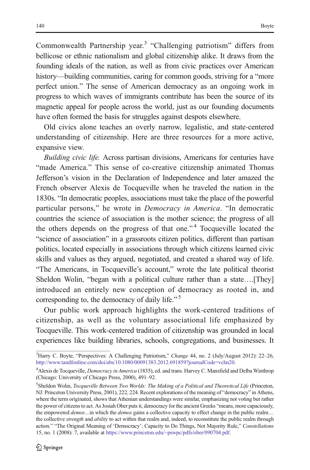Commonwealth Partnership year.<sup>3</sup> "Challenging patriotism" differs from bellicose or ethnic nationalism and global citizenship alike. It draws from the founding ideals of the nation, as well as from civic practices over American history—building communities, caring for common goods, striving for a "more" perfect union." The sense of American democracy as an ongoing work in progress to which waves of immigrants contribute has been the source of its magnetic appeal for people across the world, just as our founding documents have often formed the basis for struggles against despots elsewhere.

Old civics alone teaches an overly narrow, legalistic, and state-centered understanding of citizenship. Here are three resources for a more active, expansive view.

Building civic life. Across partisan divisions, Americans for centuries have "made America." This sense of co-creative citizenship animated Thomas Jefferson's vision in the Declaration of Independence and later amazed the French observer Alexis de Tocqueville when he traveled the nation in the 1830s. "In democratic peoples, associations must take the place of the powerful particular persons," he wrote in Democracy in America. "In democratic countries the science of association is the mother science; the progress of all the others depends on the progress of that one."<sup>4</sup> Tocqueville located the "science of association" in a grassroots citizen politics, different than partisan politics, located especially in associations through which citizens learned civic skills and values as they argued, negotiated, and created a shared way of life. "The Americans, in Tocqueville's account," wrote the late political theorist Sheldon Wolin, "began with a political culture rather than a state….[They] introduced an entirely new conception of democracy as rooted in, and corresponding to, the democracy of daily life."<sup>5</sup>

Our public work approach highlights the work-centered traditions of citizenship, as well as the voluntary associational life emphasized by Tocqueville. This work-centered tradition of citizenship was grounded in local experiences like building libraries, schools, congregations, and businesses. It

<sup>&</sup>lt;sup>3</sup>Harry C. Boyte, "Perspectives: A Challenging Patriotism," Change 44, no. 2 (July/August 2012): 22-26, <http://www.tandfonline.com/doi/abs/10.1080/00091383.2012.691859?journalCode=vchn20>.

<sup>&</sup>lt;sup>4</sup> Alexis de Tocqueville, Democracy in America (1835), ed. and trans. Harvey C. Mansfield and Delba Winthrop (Chicago: University of Chicago Press, 2000), 491–92.

<sup>&</sup>lt;sup>5</sup>Sheldon Wolin, *Tocqueville Between Two Worlds: The Making of a Political and Theoretical Life* (Princeton, NJ: Princeton University Press, 2001), 222, 224. Recent explorations of the meaning of "democracy" in Athens, where the term originated, shows that Athenian understandings were similar, emphasizing not voting but rather the power of citizens to act. As Josiah Ober puts it, democracy for the ancient Greeks "means, more capaciously, the empowered *demos* ... in which the *demos* gains a collective capacity to effect change in the public realm... the collective *strength* and *ability* to act within that realm and, indeed, to reconstitute the public realm through action." "The Original Meaning of 'Democracy': Capacity to Do Things, Not Majority Rule," Constellations 15, no. 1 (2008): 7, available at [https://www.princeton.edu/~pswpc/pdfs/ober/090704.pdf.](https://www.princeton.edu/%7Epswpc/pdfs/ober/090704.pdf)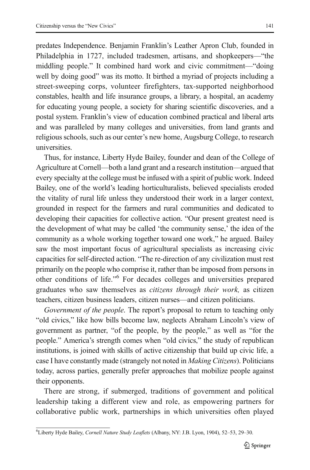predates Independence. Benjamin Franklin's Leather Apron Club, founded in Philadelphia in 1727, included tradesmen, artisans, and shopkeepers—"the middling people." It combined hard work and civic commitment—"doing well by doing good" was its motto. It birthed a myriad of projects including a street-sweeping corps, volunteer firefighters, tax-supported neighborhood constables, health and life insurance groups, a library, a hospital, an academy for educating young people, a society for sharing scientific discoveries, and a postal system. Franklin's view of education combined practical and liberal arts and was paralleled by many colleges and universities, from land grants and religious schools, such as our center's new home, Augsburg College, to research universities.

Thus, for instance, Liberty Hyde Bailey, founder and dean of the College of Agriculture at Cornell—both a land grant and a research institution—argued that every specialty at the college must be infused with a spirit of public work. Indeed Bailey, one of the world's leading horticulturalists, believed specialists eroded the vitality of rural life unless they understood their work in a larger context, grounded in respect for the farmers and rural communities and dedicated to developing their capacities for collective action. "Our present greatest need is the development of what may be called 'the community sense,' the idea of the community as a whole working together toward one work," he argued. Bailey saw the most important focus of agricultural specialists as increasing civic capacities for self-directed action. "The re-direction of any civilization must rest primarily on the people who comprise it, rather than be imposed from persons in other conditions of life."<sup>6</sup> For decades colleges and universities prepared graduates who saw themselves as citizens through their work, as citizen teachers, citizen business leaders, citizen nurses—and citizen politicians.

Government of the people. The report's proposal to return to teaching only "old civics," like how bills become law, neglects Abraham Lincoln's view of government as partner, "of the people, by the people," as well as "for the people." America's strength comes when "old civics," the study of republican institutions, is joined with skills of active citizenship that build up civic life, a case I have constantly made (strangely not noted in Making Citizens). Politicians today, across parties, generally prefer approaches that mobilize people against their opponents.

There are strong, if submerged, traditions of government and political leadership taking a different view and role, as empowering partners for collaborative public work, partnerships in which universities often played

<sup>&</sup>lt;sup>6</sup>Liberty Hyde Bailey, Cornell Nature Study Leaflets (Albany, NY: J.B. Lyon, 1904), 52–53, 29–30.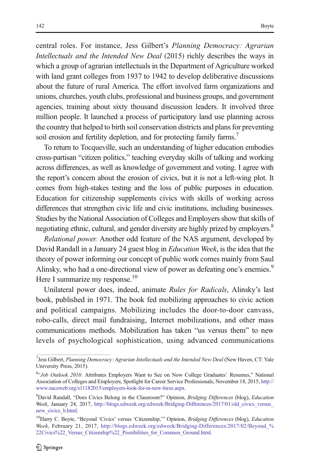central roles. For instance, Jess Gilbert's Planning Democracy: Agrarian Intellectuals and the Intended New Deal (2015) richly describes the ways in which a group of agrarian intellectuals in the Department of Agriculture worked with land grant colleges from 1937 to 1942 to develop deliberative discussions about the future of rural America. The effort involved farm organizations and unions, churches, youth clubs, professional and business groups, and government agencies, training about sixty thousand discussion leaders. It involved three million people. It launched a process of participatory land use planning across the country that helped to birth soil conservation districts and plans for preventing soil erosion and fertility depletion, and for protecting family farms.<sup>7</sup>

To return to Tocqueville, such an understanding of higher education embodies cross-partisan "citizen politics," teaching everyday skills of talking and working across differences, as well as knowledge of government and voting. I agree with the report's concern about the erosion of civics, but it is not a left-wing plot. It comes from high-stakes testing and the loss of public purposes in education. Education for citizenship supplements civics with skills of working across differences that strengthen civic life and civic institutions, including businesses. Studies by the National Association of Colleges and Employers show that skills of negotiating ethnic, cultural, and gender diversity are highly prized by employers.<sup>8</sup>

Relational power. Another odd feature of the NAS argument, developed by David Randall in a January 24 guest blog in Education Week, is the idea that the theory of power informing our concept of public work comes mainly from Saul Alinsky, who had a one-directional view of power as defeating one's enemies.<sup>9</sup> Here I summarize my response. $10$ 

Unilateral power does, indeed, animate Rules for Radicals, Alinsky's last book, published in 1971. The book fed mobilizing approaches to civic action and political campaigns. Mobilizing includes the door-to-door canvass, robo-calls, direct mail fundraising, Internet mobilizations, and other mass communications methods. Mobilization has taken "us versus them" to new levels of psychological sophistication, using advanced communications

<sup>&</sup>lt;sup>7</sup> Jess Gilbert, Planning Democracy: Agrarian Intellectuals and the Intended New Deal (New Haven, CT: Yale University Press, 2015).

<sup>&</sup>lt;sup>84</sup>Job Outlook 2016: Attributes Employers Want to See on Now College Graduates' Resumes," National Association of Colleges and Employers, Spotlight for Career Service Professionals, November 18, 2015, [http://](http://www.naceweb.org/s11182015/employers-look-for-in-new-hires.aspx) [www.naceweb.org/s11182015/employers-look-for-in-new-hires.aspx.](http://www.naceweb.org/s11182015/employers-look-for-in-new-hires.aspx)

<sup>&</sup>lt;sup>9</sup>David Randall, "Does Civics Belong in the Classroom?" Opinion, Bridging Differences (blog), Education Week, January 24, 2017, http://blogs.edweek.org/edweek/Bridging-Differences/2017/01/old civics versus [new\\_civics\\_b.html.](http://blogs.edweek.org/edweek/Bridging-Differences/2017/01/old_civics_versus_new_civics_b.html)

<sup>&</sup>lt;sup>10</sup>Harry C. Boyte, "Beyond 'Civics' versus 'Citizenship," Opinion, Bridging Differences (blog), Education Week, February 21, 2017, http://blogs.edweek.org/edweek/Bridging-Differences/2017/02/Beyond % 22Civics%22 Versus Citizenship%22 Possibilities for Common Ground.html.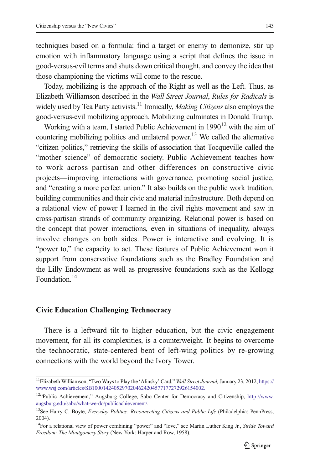techniques based on a formula: find a target or enemy to demonize, stir up emotion with inflammatory language using a script that defines the issue in good-versus-evil terms and shuts down critical thought, and convey the idea that those championing the victims will come to the rescue.

Today, mobilizing is the approach of the Right as well as the Left. Thus, as Elizabeth Williamson described in the Wall Street Journal, Rules for Radicals is widely used by Tea Party activists.<sup>11</sup> Ironically, *Making Citizens* also employs the good-versus-evil mobilizing approach. Mobilizing culminates in Donald Trump.

Working with a team, I started Public Achievement in  $1990^{12}$  with the aim of countering mobilizing politics and unilateral power.<sup>13</sup> We called the alternative "citizen politics," retrieving the skills of association that Tocqueville called the "mother science" of democratic society. Public Achievement teaches how to work across partisan and other differences on constructive civic projects—improving interactions with governance, promoting social justice, and "creating a more perfect union." It also builds on the public work tradition, building communities and their civic and material infrastructure. Both depend on a relational view of power I learned in the civil rights movement and saw in cross-partisan strands of community organizing. Relational power is based on the concept that power interactions, even in situations of inequality, always involve changes on both sides. Power is interactive and evolving. It is "power to," the capacity to act. These features of Public Achievement won it support from conservative foundations such as the Bradley Foundation and the Lilly Endowment as well as progressive foundations such as the Kellogg Foundation.14

### Civic Education Challenging Technocracy

There is a leftward tilt to higher education, but the civic engagement movement, for all its complexities, is a counterweight. It begins to overcome the technocratic, state-centered bent of left-wing politics by re-growing connections with the world beyond the Ivory Tower.

<sup>&</sup>lt;sup>11</sup>Elizabeth Williamson, "Two Ways to Play the 'Alinsky' Card," Wall Street Journal, January 23, 2012, [https://](https://www.wsj.com/articles/SB10001424052970204624204577177272926154002) [www.wsj.com/articles/SB10001424052970204624204577177272926154002.](https://www.wsj.com/articles/SB10001424052970204624204577177272926154002)

<sup>&</sup>lt;sup>12</sup>"Public Achievement," Augsburg College, Sabo Center for Democracy and Citizenship, [http://www.](http://www.augsburg.edu/sabo/what-we-do/publicachievement/) [augsburg.edu/sabo/what-we-do/publicachievement/.](http://www.augsburg.edu/sabo/what-we-do/publicachievement/)

<sup>&</sup>lt;sup>13</sup>See Harry C. Boyte, Everyday Politics: Reconnecting Citizens and Public Life (Philadelphia: PennPress, 2004).

<sup>&</sup>lt;sup>14</sup>For a relational view of power combining "power" and "love," see Martin Luther King Jr., Stride Toward Freedom: The Montgomery Story (New York: Harper and Row, 1958).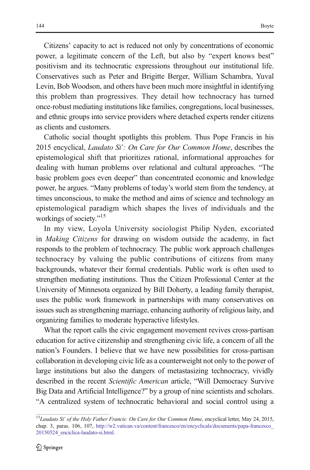Citizens' capacity to act is reduced not only by concentrations of economic power, a legitimate concern of the Left, but also by "expert knows best" positivism and its technocratic expressions throughout our institutional life. Conservatives such as Peter and Brigitte Berger, William Schambra, Yuval Levin, Bob Woodson, and others have been much more insightful in identifying this problem than progressives. They detail how technocracy has turned once-robust mediating institutions like families, congregations, local businesses, and ethnic groups into service providers where detached experts render citizens as clients and customers.

Catholic social thought spotlights this problem. Thus Pope Francis in his 2015 encyclical, Laudato Si': On Care for Our Common Home, describes the epistemological shift that prioritizes rational, informational approaches for dealing with human problems over relational and cultural approaches. "The basic problem goes even deeper" than concentrated economic and knowledge power, he argues. "Many problems of today's world stem from the tendency, at times unconscious, to make the method and aims of science and technology an epistemological paradigm which shapes the lives of individuals and the workings of society."<sup>15</sup>

In my view, Loyola University sociologist Philip Nyden, excoriated in Making Citizens for drawing on wisdom outside the academy, in fact responds to the problem of technocracy. The public work approach challenges technocracy by valuing the public contributions of citizens from many backgrounds, whatever their formal credentials. Public work is often used to strengthen mediating institutions. Thus the Citizen Professional Center at the University of Minnesota organized by Bill Doherty, a leading family therapist, uses the public work framework in partnerships with many conservatives on issues such as strengthening marriage, enhancing authority of religious laity, and organizing families to moderate hyperactive lifestyles.

What the report calls the civic engagement movement revives cross-partisan education for active citizenship and strengthening civic life, a concern of all the nation's Founders. I believe that we have new possibilities for cross-partisan collaboration in developing civic life as a counterweight not only to the power of large institutions but also the dangers of metastasizing technocracy, vividly described in the recent Scientific American article, "Will Democracy Survive Big Data and Artificial Intelligence?" by a group of nine scientists and scholars. "A centralized system of technocratic behavioral and social control using a

<sup>&</sup>lt;sup>15</sup>Laudato Si' of the Holy Father Francis: On Care for Our Common Home, encyclical letter, May 24, 2015, chap. 3, paras. 106, 107, [http://w2.vatican.va/content/francesco/en/encyclicals/documents/papa-francesco\\_](http://w2.vatican.va/content/francesco/en/encyclicals/documents/papa-francesco_20150524_enciclica-laudato-si.html) [20150524\\_enciclica-laudato-si.html.](http://w2.vatican.va/content/francesco/en/encyclicals/documents/papa-francesco_20150524_enciclica-laudato-si.html)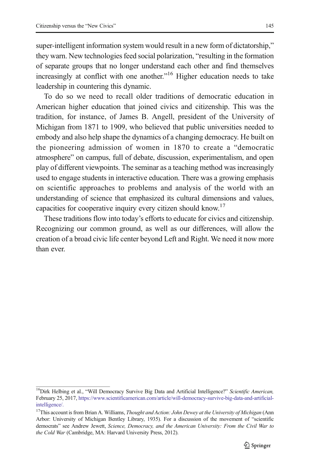super-intelligent information system would result in a new form of dictatorship," they warn. New technologies feed social polarization, "resulting in the formation of separate groups that no longer understand each other and find themselves increasingly at conflict with one another."<sup>16</sup> Higher education needs to take leadership in countering this dynamic.

To do so we need to recall older traditions of democratic education in American higher education that joined civics and citizenship. This was the tradition, for instance, of James B. Angell, president of the University of Michigan from 1871 to 1909, who believed that public universities needed to embody and also help shape the dynamics of a changing democracy. He built on the pioneering admission of women in 1870 to create a "democratic atmosphere" on campus, full of debate, discussion, experimentalism, and open play of different viewpoints. The seminar as a teaching method was increasingly used to engage students in interactive education. There was a growing emphasis on scientific approaches to problems and analysis of the world with an understanding of science that emphasized its cultural dimensions and values, capacities for cooperative inquiry every citizen should know.17

These traditions flow into today's efforts to educate for civics and citizenship. Recognizing our common ground, as well as our differences, will allow the creation of a broad civic life center beyond Left and Right. We need it now more than ever.

<sup>&</sup>lt;sup>16</sup>Dirk Helbing et al., "Will Democracy Survive Big Data and Artificial Intelligence?" Scientific American, February 25, 2017, [https://www.scientificamerican.com/article/will-democracy-survive-big-data-and-artificial](https://www.scientificamerican.com/article/will-democracy-survive-big-data-and-artificial-intelligence/)[intelligence/.](https://www.scientificamerican.com/article/will-democracy-survive-big-data-and-artificial-intelligence/)

<sup>&</sup>lt;sup>17</sup>This account is from Brian A. Williams, *Thought and Action: John Dewey at the University of Michigan* (Ann Arbor: University of Michigan Bentley Library, 1935). For a discussion of the movement of "scientific democrats" see Andrew Jewett, Science, Democracy, and the American University: From the Civil War to the Cold War (Cambridge, MA: Harvard University Press, 2012).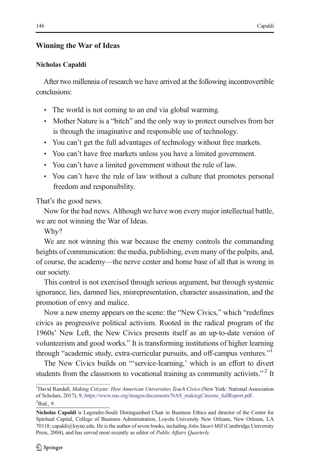# Winning the War of Ideas

# Nicholas Capaldi

After two millennia of research we have arrived at the following incontrovertible conclusions:

- & The world is not coming to an end via global warming.
- & Mother Nature is a "bitch" and the only way to protect ourselves from her is through the imaginative and responsible use of technology.
- & You can't get the full advantages of technology without free markets.
- & You can't have free markets unless you have a limited government.
- & You can't have a limited government without the rule of law.
- & You can't have the rule of law without a culture that promotes personal freedom and responsibility.

That's the good news.

Now for the bad news. Although we have won every major intellectual battle, we are not winning the War of Ideas.

Why?

We are not winning this war because the enemy controls the commanding heights of communication: the media, publishing, even many of the pulpits, and, of course, the academy—the nerve center and home base of all that is wrong in our society.

This control is not exercised through serious argument, but through systemic ignorance, lies, damned lies, misrepresentation, character assassination, and the promotion of envy and malice.

Now a new enemy appears on the scene: the "New Civics," which "redefines civics as progressive political activism. Rooted in the radical program of the 1960s' New Left, the New Civics presents itself as an up-to-date version of volunteerism and good works." It is transforming institutions of higher learning through "academic study, extra-curricular pursuits, and off-campus ventures."<sup>1</sup>

The New Civics builds on "'service-learning,' which is an effort to divert students from the classroom to vocational training as community activists."<sup>2</sup> It

<sup>&</sup>lt;sup>1</sup>David Randall, Making Citizens: How American Universities Teach Civics (New York: National Association of Scholars, 2017), 9, [https://www.nas.org/images/documents/NAS\\_makingCitizens\\_fullReport.pdf.](https://www.nas.org/images/documents/NAS_makingCitizens_fullReport.pdf)  $2$ Ibid., 9.

Nicholas Capaldi is Legendre-Soulé Distinguished Chair in Business Ethics and director of the Center for Spiritual Capital, College of Business Administration, Loyola University New Orleans, New Orleans, LA 70118; capaldi@loyno.edu. He is the author of seven books, including John Stuart Mill (Cambridge University Press, 2004), and has served most recently as editor of *Public Affairs Quarterly*.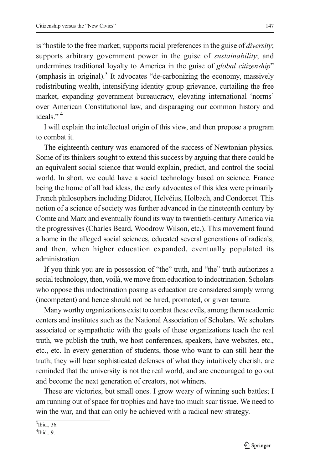is "hostile to the free market; supports racial preferences in the guise of *diversity*; supports arbitrary government power in the guise of *sustainability*; and undermines traditional loyalty to America in the guise of global citizenship" (emphasis in original).<sup>3</sup> It advocates "de-carbonizing the economy, massively redistributing wealth, intensifying identity group grievance, curtailing the free market, expanding government bureaucracy, elevating international 'norms' over American Constitutional law, and disparaging our common history and ideals."<sup>4</sup>

I will explain the intellectual origin of this view, and then propose a program to combat it.

The eighteenth century was enamored of the success of Newtonian physics. Some of its thinkers sought to extend this success by arguing that there could be an equivalent social science that would explain, predict, and control the social world. In short, we could have a social technology based on science. France being the home of all bad ideas, the early advocates of this idea were primarily French philosophers including Diderot, Helvéius, Holbach, and Condorcet. This notion of a science of society was further advanced in the nineteenth century by Comte and Marx and eventually found its way to twentieth-century America via the progressives (Charles Beard, Woodrow Wilson, etc.). This movement found a home in the alleged social sciences, educated several generations of radicals, and then, when higher education expanded, eventually populated its administration.

If you think you are in possession of "the" truth, and "the" truth authorizes a social technology, then, voilà, we move from education to indoctrination. Scholars who oppose this indoctrination posing as education are considered simply wrong (incompetent) and hence should not be hired, promoted, or given tenure.

Many worthy organizations exist to combat these evils, among them academic centers and institutes such as the National Association of Scholars. We scholars associated or sympathetic with the goals of these organizations teach the real truth, we publish the truth, we host conferences, speakers, have websites, etc., etc., etc. In every generation of students, those who want to can still hear the truth; they will hear sophisticated defenses of what they intuitively cherish, are reminded that the university is not the real world, and are encouraged to go out and become the next generation of creators, not whiners.

These are victories, but small ones. I grow weary of winning such battles; I am running out of space for trophies and have too much scar tissue. We need to win the war, and that can only be achieved with a radical new strategy.

3 Ibid., 36.

 $4$ Ibid., 9.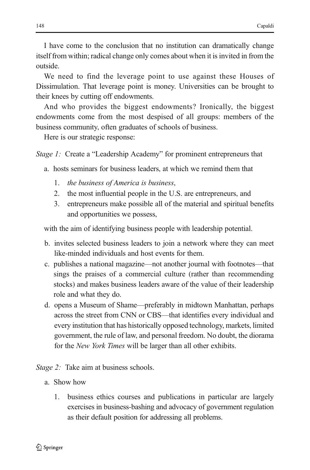I have come to the conclusion that no institution can dramatically change itself from within; radical change only comes about when it is invited in from the outside.

We need to find the leverage point to use against these Houses of Dissimulation. That leverage point is money. Universities can be brought to their knees by cutting off endowments.

And who provides the biggest endowments? Ironically, the biggest endowments come from the most despised of all groups: members of the business community, often graduates of schools of business.

Here is our strategic response:

Stage 1: Create a "Leadership Academy" for prominent entrepreneurs that

a. hosts seminars for business leaders, at which we remind them that

- 1. the business of America is business,
- 2. the most influential people in the U.S. are entrepreneurs, and
- 3. entrepreneurs make possible all of the material and spiritual benefits and opportunities we possess,

with the aim of identifying business people with leadership potential.

- b. invites selected business leaders to join a network where they can meet like-minded individuals and host events for them.
- c. publishes a national magazine—not another journal with footnotes—that sings the praises of a commercial culture (rather than recommending stocks) and makes business leaders aware of the value of their leadership role and what they do.
- d. opens a Museum of Shame—preferably in midtown Manhattan, perhaps across the street from CNN or CBS—that identifies every individual and every institution that has historically opposed technology, markets, limited government, the rule of law, and personal freedom. No doubt, the diorama for the *New York Times* will be larger than all other exhibits.
- Stage 2: Take aim at business schools.
	- a. Show how
		- 1. business ethics courses and publications in particular are largely exercises in business-bashing and advocacy of government regulation as their default position for addressing all problems.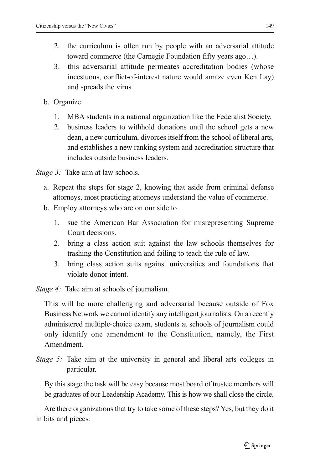- 2. the curriculum is often run by people with an adversarial attitude toward commerce (the Carnegie Foundation fifty years ago…).
- 3. this adversarial attitude permeates accreditation bodies (whose incestuous, conflict-of-interest nature would amaze even Ken Lay) and spreads the virus.
- b. Organize
	- 1. MBA students in a national organization like the Federalist Society.
	- 2. business leaders to withhold donations until the school gets a new dean, a new curriculum, divorces itself from the school of liberal arts, and establishes a new ranking system and accreditation structure that includes outside business leaders.

Stage 3: Take aim at law schools.

- a. Repeat the steps for stage 2, knowing that aside from criminal defense attorneys, most practicing attorneys understand the value of commerce.
- b. Employ attorneys who are on our side to
	- 1. sue the American Bar Association for misrepresenting Supreme Court decisions.
	- 2. bring a class action suit against the law schools themselves for trashing the Constitution and failing to teach the rule of law.
	- 3. bring class action suits against universities and foundations that violate donor intent.

Stage 4: Take aim at schools of journalism.

This will be more challenging and adversarial because outside of Fox Business Network we cannot identify any intelligent journalists. On a recently administered multiple-choice exam, students at schools of journalism could only identify one amendment to the Constitution, namely, the First Amendment.

Stage 5: Take aim at the university in general and liberal arts colleges in particular.

By this stage the task will be easy because most board of trustee members will be graduates of our Leadership Academy. This is how we shall close the circle.

Are there organizations that try to take some of these steps? Yes, but they do it in bits and pieces.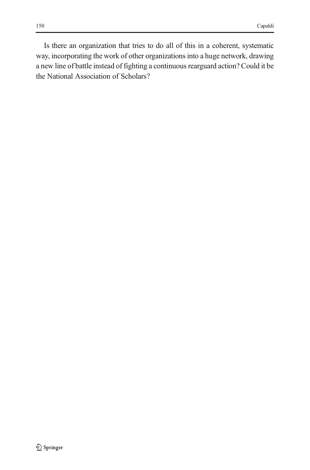Is there an organization that tries to do all of this in a coherent, systematic way, incorporating the work of other organizations into a huge network, drawing a new line of battle instead of fighting a continuous rearguard action? Could it be the National Association of Scholars?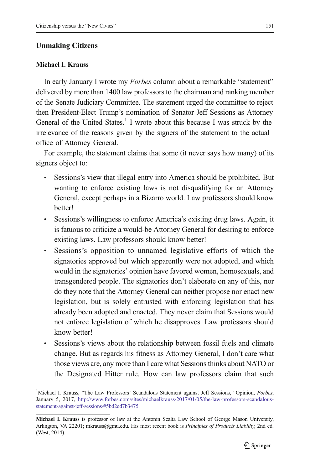### Unmaking Citizens

### Michael I. Krauss

In early January I wrote my Forbes column about a remarkable "statement" delivered by more than 1400 law professors to the chairman and ranking member of the Senate Judiciary Committee. The statement urged the committee to reject then President-Elect Trump's nomination of Senator Jeff Sessions as Attorney General of the United States.<sup>1</sup> I wrote about this because I was struck by the irrelevance of the reasons given by the signers of the statement to the actual office of Attorney General.

For example, the statement claims that some (it never says how many) of its signers object to:

- & Sessions's view that illegal entry into America should be prohibited. But wanting to enforce existing laws is not disqualifying for an Attorney General, except perhaps in a Bizarro world. Law professors should know better!
- & Sessions's willingness to enforce America's existing drug laws. Again, it is fatuous to criticize a would-be Attorney General for desiring to enforce existing laws. Law professors should know better!
- & Sessions's opposition to unnamed legislative efforts of which the signatories approved but which apparently were not adopted, and which would in the signatories' opinion have favored women, homosexuals, and transgendered people. The signatories don't elaborate on any of this, nor do they note that the Attorney General can neither propose nor enact new legislation, but is solely entrusted with enforcing legislation that has already been adopted and enacted. They never claim that Sessions would not enforce legislation of which he disapproves. Law professors should know better!
- Sessions's views about the relationship between fossil fuels and climate change. But as regards his fitness as Attorney General, I don't care what those views are, any more than I care what Sessions thinks about NATO or the Designated Hitter rule. How can law professors claim that such

<sup>&</sup>lt;sup>1</sup>Michael I. Krauss, "The Law Professors' Scandalous Statement against Jeff Sessions," Opinion, Forbes, January 5, 2017, [http://www.forbes.com/sites/michaelkrauss/2017/01/05/the-law-professors-scandalous](http://www.forbes.com/sites/michaelkrauss/2017/01/05/the-law-professors-scandalous-statement-against-jeff-sessions/%235bd2ed7b3475)[statement-against-jeff-sessions/#5bd2ed7b3475](http://www.forbes.com/sites/michaelkrauss/2017/01/05/the-law-professors-scandalous-statement-against-jeff-sessions/%235bd2ed7b3475).

Michael I. Krauss is professor of law at the Antonin Scalia Law School of George Mason University, Arlington, VA 22201; mkrauss@gmu.edu. His most recent book is Principles of Products Liability, 2nd ed. (West, 2014).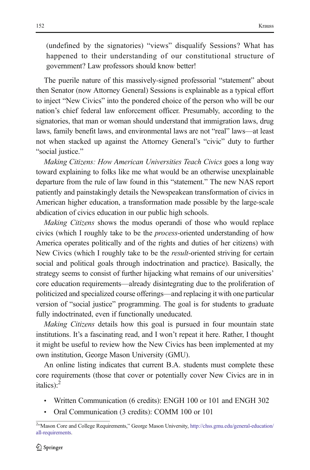(undefined by the signatories) "views" disqualify Sessions? What has happened to their understanding of our constitutional structure of government? Law professors should know better!

The puerile nature of this massively-signed professorial "statement" about then Senator (now Attorney General) Sessions is explainable as a typical effort to inject "New Civics" into the pondered choice of the person who will be our nation's chief federal law enforcement officer. Presumably, according to the signatories, that man or woman should understand that immigration laws, drug laws, family benefit laws, and environmental laws are not "real" laws—at least not when stacked up against the Attorney General's "civic" duty to further "social justice."

Making Citizens: How American Universities Teach Civics goes a long way toward explaining to folks like me what would be an otherwise unexplainable departure from the rule of law found in this "statement." The new NAS report patiently and painstakingly details the Newspeakean transformation of civics in American higher education, a transformation made possible by the large-scale abdication of civics education in our public high schools.

Making Citizens shows the modus operandi of those who would replace civics (which I roughly take to be the process-oriented understanding of how America operates politically and of the rights and duties of her citizens) with New Civics (which I roughly take to be the *result*-oriented striving for certain social and political goals through indoctrination and practice). Basically, the strategy seems to consist of further hijacking what remains of our universities' core education requirements—already disintegrating due to the proliferation of politicized and specialized course offerings—and replacing it with one particular version of "social justice" programming. The goal is for students to graduate fully indoctrinated, even if functionally uneducated.

Making Citizens details how this goal is pursued in four mountain state institutions. It's a fascinating read, and I won't repeat it here. Rather, I thought it might be useful to review how the New Civics has been implemented at my own institution, George Mason University (GMU).

An online listing indicates that current B.A. students must complete these core requirements (those that cover or potentially cover New Civics are in in italics): $<sup>2</sup>$ </sup>

- & Written Communication (6 credits): ENGH 100 or 101 and ENGH 302
- & Oral Communication (3 credits): COMM 100 or 101

<sup>&</sup>lt;sup>2</sup>"Mason Core and College Requirements," George Mason University, [http://chss.gmu.edu/general-education/](http://chss.gmu.edu/general-education/all-requirements) [all-requirements.](http://chss.gmu.edu/general-education/all-requirements)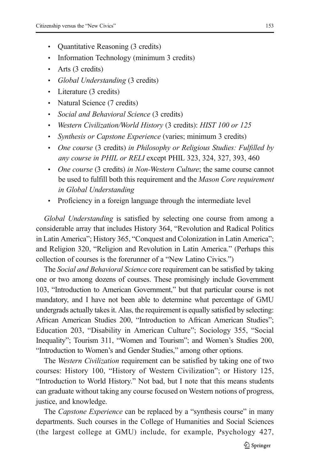- Ouantitative Reasoning (3 credits)
- & Information Technology (minimum 3 credits)
- Arts (3 credits)
- Global Understanding (3 credits)
- Literature (3 credits)
- Natural Science (7 credits)
- Social and Behavioral Science (3 credits)
- & Western Civilization/World History (3 credits): HIST 100 or 125
- & Synthesis or Capstone Experience (varies; minimum 3 credits)
- & One course (3 credits) in Philosophy or Religious Studies: Fulfilled by any course in PHIL or RELI except PHIL 323, 324, 327, 393, 460
- One course (3 credits) in Non-Western Culture; the same course cannot be used to fulfill both this requirement and the Mason Core requirement in Global Understanding
- Proficiency in a foreign language through the intermediate level

Global Understanding is satisfied by selecting one course from among a considerable array that includes History 364, "Revolution and Radical Politics in Latin America"; History 365, "Conquest and Colonization in Latin America"; and Religion 320, "Religion and Revolution in Latin America." (Perhaps this collection of courses is the forerunner of a "New Latino Civics.")

The Social and Behavioral Science core requirement can be satisfied by taking one or two among dozens of courses. These promisingly include Government 103, "Introduction to American Government," but that particular course is not mandatory, and I have not been able to determine what percentage of GMU undergrads actually takes it. Alas, the requirement is equally satisfied by selecting: African American Studies 200, "Introduction to African American Studies"; Education 203, "Disability in American Culture"; Sociology 355, "Social Inequality"; Tourism 311, "Women and Tourism"; and Women's Studies 200, "Introduction to Women's and Gender Studies," among other options.

The Western Civilization requirement can be satisfied by taking one of two courses: History 100, "History of Western Civilization"; or History 125, "Introduction to World History." Not bad, but I note that this means students can graduate without taking any course focused on Western notions of progress, justice, and knowledge.

The *Capstone Experience* can be replaced by a "synthesis course" in many departments. Such courses in the College of Humanities and Social Sciences (the largest college at GMU) include, for example, Psychology 427,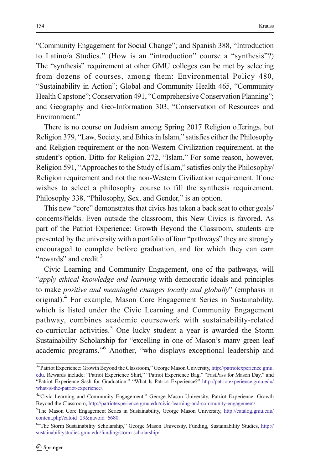"Community Engagement for Social Change"; and Spanish 388, "Introduction to Latino/a Studies." (How is an "introduction" course a "synthesis"?) The "synthesis" requirement at other GMU colleges can be met by selecting from dozens of courses, among them: Environmental Policy 480, "Sustainability in Action"; Global and Community Health 465, "Community Health Capstone"; Conservation 491, "Comprehensive Conservation Planning"; and Geography and Geo-Information 303, "Conservation of Resources and Environment."

There is no course on Judaism among Spring 2017 Religion offerings, but Religion 379, "Law, Society, and Ethics in Islam," satisfies either the Philosophy and Religion requirement or the non-Western Civilization requirement, at the student's option. Ditto for Religion 272, "Islam." For some reason, however, Religion 591, "Approaches to the Study of Islam," satisfies only the Philosophy/ Religion requirement and not the non-Western Civilization requirement. If one wishes to select a philosophy course to fill the synthesis requirement, Philosophy 338, "Philosophy, Sex, and Gender," is an option.

This new "core" demonstrates that civics has taken a back seat to other goals/ concerns/fields. Even outside the classroom, this New Civics is favored. As part of the Patriot Experience: Growth Beyond the Classroom, students are presented by the university with a portfolio of four "pathways" they are strongly encouraged to complete before graduation, and for which they can earn "rewards" and credit.<sup>3</sup>

Civic Learning and Community Engagement, one of the pathways, will "apply ethical knowledge and learning with democratic ideals and principles to make positive and meaningful changes locally and globally" (emphasis in original).4 For example, Mason Core Engagement Series in Sustainability, which is listed under the Civic Learning and Community Engagement pathway, combines academic coursework with sustainability-related  $co$ -curricular activities.<sup>5</sup> One lucky student a year is awarded the Storm Sustainability Scholarship for "excelling in one of Mason's many green leaf academic programs."<sup>6</sup> Another, "who displays exceptional leadership and

<sup>&</sup>lt;sup>3.</sup> Patriot Experience: Growth Beyond the Classroom," George Mason University, [http://patriotexperience.gmu.](http://patriotexperience.gmu.edu) [edu](http://patriotexperience.gmu.edu). Rewards include: "Patriot Experience Shirt," "Patriot Experience Bag," "FastPass for Mason Day," and "Patriot Experience Sash for Graduation." "What Is Patriot Experience?" [http://patriotexperience.gmu.edu/](http://patriotexperience.gmu.edu/what-is-the-patriot-experience/) [what-is-the-patriot-experience/.](http://patriotexperience.gmu.edu/what-is-the-patriot-experience/)

<sup>&</sup>lt;sup>4</sup>"Civic Learning and Community Engagement," George Mason University, Patriot Experience: Growth Beyond the Classroom, [http://patriotexperience.gmu.edu/civic-learning-and-community-engagement/.](http://patriotexperience.gmu.edu/civic-learning-and-community-engagement/)

<sup>&</sup>lt;sup>5</sup>The Mason Core Engagement Series in Sustainability, George Mason University, [http://catalog.gmu.edu/](http://catalog.gmu.edu/content.php?catoid=29&navoid=6680) [content.php?catoid=29&navoid=6680.](http://catalog.gmu.edu/content.php?catoid=29&navoid=6680)

<sup>6</sup> "The Storm Sustainability Scholarship," George Mason University, Funding, Sustainability Studies, [http://](http://sustainabilitystudies.gmu.edu/funding/storm-scholarship/) [sustainabilitystudies.gmu.edu/funding/storm-scholarship/.](http://sustainabilitystudies.gmu.edu/funding/storm-scholarship/)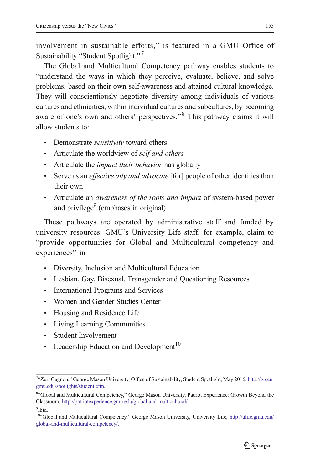involvement in sustainable efforts," is featured in a GMU Office of Sustainability "Student Spotlight."<sup>7</sup>

The Global and Multicultural Competency pathway enables students to "understand the ways in which they perceive, evaluate, believe, and solve problems, based on their own self-awareness and attained cultural knowledge. They will conscientiously negotiate diversity among individuals of various cultures and ethnicities, within individual cultures and subcultures, by becoming aware of one's own and others' perspectives."<sup>8</sup> This pathway claims it will allow students to:

- Demonstrate *sensitivity* toward others
- Articulate the worldview of self and others
- Articulate the *impact their behavior* has globally
- Serve as an *effective ally and advocate* [for] people of other identities than their own
- Articulate an *awareness of the roots and impact* of system-based power and privilege $9$  (emphases in original)

These pathways are operated by administrative staff and funded by university resources. GMU's University Life staff, for example, claim to "provide opportunities for Global and Multicultural competency and experiences" in

- & Diversity, Inclusion and Multicultural Education
- & Lesbian, Gay, Bisexual, Transgender and Questioning Resources
- & International Programs and Services
- & Women and Gender Studies Center
- & Housing and Residence Life
- Living Learning Communities
- & Student Involvement
- Leadership Education and Development<sup>10</sup>

<sup>&</sup>lt;sup>7</sup>"Zuri Gagnon," George Mason University, Office of Sustainability, Student Spotlight, May 2016, [http://green.](http://green.gmu.edu/spotlights/student.cfm) [gmu.edu/spotlights/student.cfm](http://green.gmu.edu/spotlights/student.cfm).

<sup>&</sup>lt;sup>84</sup>Global and Multicultural Competency," George Mason University, Patriot Experience: Growth Beyond the Classroom, [http://patriotexperience.gmu.edu/global-and-multicultural/.](http://patriotexperience.gmu.edu/global-and-multicultural/)

<sup>&</sup>lt;sup>9</sup>Ibid.

<sup>&</sup>lt;sup>10a</sup>Global and Multicultural Competency," George Mason University, University Life, [http://ulife.gmu.edu/](http://ulife.gmu.edu/global-and-multicultural-competency/) [global-and-multicultural-competency/.](http://ulife.gmu.edu/global-and-multicultural-competency/)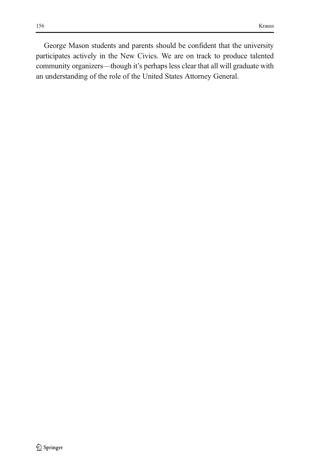George Mason students and parents should be confident that the university participates actively in the New Civics. We are on track to produce talented community organizers—though it's perhaps less clear that all will graduate with an understanding of the role of the United States Attorney General.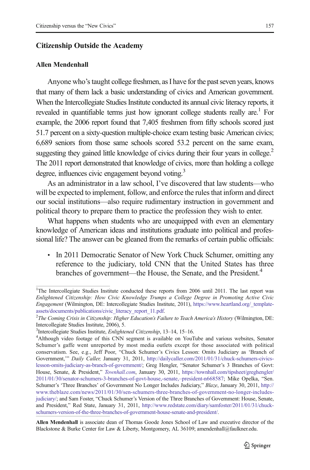### Citizenship Outside the Academy

#### Allen Mendenhall

Anyone who's taught college freshmen, as I have for the past seven years, knows that many of them lack a basic understanding of civics and American government. When the Intercollegiate Studies Institute conducted its annual civic literacy reports, it revealed in quantifiable terms just how ignorant college students really are.<sup>1</sup> For example, the 2006 report found that 7,405 freshmen from fifty schools scored just 51.7 percent on a sixty-question multiple-choice exam testing basic American civics; 6,689 seniors from those same schools scored 53.2 percent on the same exam, suggesting they gained little knowledge of civics during their four years in college.<sup>2</sup> The 2011 report demonstrated that knowledge of civics, more than holding a college degree, influences civic engagement beyond voting.<sup>3</sup>

As an administrator in a law school, I've discovered that law students—who will be expected to implement, follow, and enforce the rules that inform and direct our social institutions—also require rudimentary instruction in government and political theory to prepare them to practice the profession they wish to enter.

What happens when students who are unequipped with even an elementary knowledge of American ideas and institutions graduate into political and professional life? The answer can be gleaned from the remarks of certain public officials:

• In 2011 Democratic Senator of New York Chuck Schumer, omitting any reference to the judiciary, told CNN that the United States has three branches of government—the House, the Senate, and the President.<sup>4</sup>

<sup>&</sup>lt;sup>1</sup>The Intercollegiate Studies Institute conducted these reports from 2006 until 2011. The last report was Enlightened Citizenship: How Civic Knowledge Trumps a College Degree in Promoting Active Civic Engagement (Wilmington, DE: Intercollegiate Studies Institute, 2011), [https://www.heartland.org/\\_template](https://www.heartland.org/_template-assets/documents/publications/civic_literacy_report_11.pdf)[assets/documents/publications/civic\\_literacy\\_report\\_11.pdf](https://www.heartland.org/_template-assets/documents/publications/civic_literacy_report_11.pdf).

<sup>&</sup>lt;sup>2</sup>The Coming Crisis in Citizenship: Higher Education's Failure to Teach America's History (Wilmington, DE: Intercollegiate Studies Institute, 2006), 5.

 ${}^{3}$ Intercollegiate Studies Institute, *Enlightened Citizenship*, 13–14, 15–16.<br> ${}^{4}$ Although video footage of this CNN segment is available on You<sup>1</sup>

Although video footage of this CNN segment is available on YouTube and various websites, Senator Schumer's gaffe went unreported by most media outlets except for those associated with political conservatism. See, e.g., Jeff Poor, "Chuck Schumer's Civics Lesson: Omits Judiciary as 'Branch of Government,'" Daily Caller, January 31, 2011, [http://dailycaller.com/2011/01/31/chuck-schumers-civics](http://dailycaller.com/2011/01/31/chuck-schumers-civics-lesson-omits-judiciary-as-branch-of-government/)[lesson-omits-judiciary-as-branch-of-government/;](http://dailycaller.com/2011/01/31/chuck-schumers-civics-lesson-omits-judiciary-as-branch-of-government/) Greg Hengler, "Senator Schumer's 3 Branches of Govt: House, Senate, & President," [Townhall.com](http://townhall.com), January 30, 2011, [https://townhall.com/tipsheet/greghengler/](https://townhall.com/tipsheet/greghengler/2011/01/30/senator-schumers-3-branches-of-govt-house,-senate,--president-n668587) [2011/01/30/senator-schumers-3-branches-of-govt-house,-senate,](https://townhall.com/tipsheet/greghengler/2011/01/30/senator-schumers-3-branches-of-govt-house,-senate,--president-n668587)–president-n668587; Mike Opelka, "Sen. Schumer's 'Three Branches' of Government No Longer Includes Judiciary," Blaze, January 30, 2011, [http://](http://www.theblaze.com/news/2011/01/30/sen-schumers-three-branches-of-government-no-longer-includes-judiciary/) [www.theblaze.com/news/2011/01/30/sen-schumers-three-branches-of-government-no-longer-includes](http://www.theblaze.com/news/2011/01/30/sen-schumers-three-branches-of-government-no-longer-includes-judiciary/)[judiciary/](http://www.theblaze.com/news/2011/01/30/sen-schumers-three-branches-of-government-no-longer-includes-judiciary/); and Sam Foster, "Chuck Schumer's Version of the Three Branches of Government: House, Senate, and President," Red State, January 31, 2011, [http://www.redstate.com/diary/samfoster/2011/01/31/chuck](http://www.redstate.com/diary/samfoster/2011/01/31/chuck-schumers-version-of-the-three-branches-of-government-house-senate-and-president/)[schumers-version-of-the-three-branches-of-government-house-senate-and-president/.](http://www.redstate.com/diary/samfoster/2011/01/31/chuck-schumers-version-of-the-three-branches-of-government-house-senate-and-president/)

Allen Mendenhall is associate dean of Thomas Goode Jones School of Law and executive director of the Blackstone & Burke Center for Law & Liberty, Montgomery, AL 36109; amendenhall@faulkner.edu.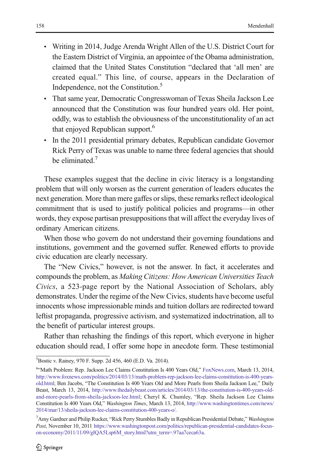- & Writing in 2014, Judge Arenda Wright Allen of the U.S. District Court for the Eastern District of Virginia, an appointee of the Obama administration, claimed that the United States Constitution "declared that 'all men' are created equal." This line, of course, appears in the Declaration of Independence, not the Constitution.<sup>5</sup>
- & That same year, Democratic Congresswoman of Texas Sheila Jackson Lee announced that the Constitution was four hundred years old. Her point, oddly, was to establish the obviousness of the unconstitutionality of an act that enjoyed Republican support.<sup>6</sup>
- & In the 2011 presidential primary debates, Republican candidate Governor Rick Perry of Texas was unable to name three federal agencies that should be eliminated<sup>7</sup>

These examples suggest that the decline in civic literacy is a longstanding problem that will only worsen as the current generation of leaders educates the next generation. More than mere gaffes or slips, these remarks reflect ideological commitment that is used to justify political policies and programs—in other words, they expose partisan presuppositions that will affect the everyday lives of ordinary American citizens.

When those who govern do not understand their governing foundations and institutions, government and the governed suffer. Renewed efforts to provide civic education are clearly necessary.

The "New Civics," however, is not the answer. In fact, it accelerates and compounds the problem, as Making Citizens: How American Universities Teach Civics, a 523-page report by the National Association of Scholars, ably demonstrates. Under the regime of the New Civics, students have become useful innocents whose impressionable minds and tuition dollars are redirected toward leftist propaganda, progressive activism, and systematized indoctrination, all to the benefit of particular interest groups.

Rather than rehashing the findings of this report, which everyone in higher education should read, I offer some hope in anecdote form. These testimonial

<sup>5</sup> Bostic v. Rainey, 970 F. Supp. 2d 456, 460 (E.D. Va. 2014).

<sup>6</sup> "Math Problem: Rep. Jackson Lee Claims Constitution Is 400 Years Old," [FoxNews.com](http://foxnews.com), March 13, 2014, [http://www.foxnews.com/politics/2014/03/13/math-problem-rep-jackson-lee-claims-constitution-is-400-years](http://www.foxnews.com/politics/2014/03/13/math-problem-rep-jackson-lee-claims-constitution-is-400-years-old.html)[old.html;](http://www.foxnews.com/politics/2014/03/13/math-problem-rep-jackson-lee-claims-constitution-is-400-years-old.html) Ben Jacobs, "The Constitution Is 400 Years Old and More Pearls from Sheila Jackson Lee," Daily Beast, March 13, 2014, [http://www.thedailybeast.com/articles/2014/03/13/the-constitution-is-400-years-old](http://www.thedailybeast.com/articles/2014/03/13/the-constitution-is-400-years-old-and-more-pearls-from-sheila-jackson-lee.html)[and-more-pearls-from-sheila-jackson-lee.html;](http://www.thedailybeast.com/articles/2014/03/13/the-constitution-is-400-years-old-and-more-pearls-from-sheila-jackson-lee.html) Cheryl K. Chumley, "Rep. Sheila Jackson Lee Claims Constitution Is 400 Years Old," Washington Times, March 13, 2014, [http://www.washingtontimes.com/news/](http://www.washingtontimes.com/news/2014/mar/13/sheila-jackson-lee-claims-constitution-400-years-o/) [2014/mar/13/sheila-jackson-lee-claims-constitution-400-years-o/.](http://www.washingtontimes.com/news/2014/mar/13/sheila-jackson-lee-claims-constitution-400-years-o/)

<sup>&</sup>lt;sup>7</sup> Amy Gardner and Philip Rucker, "Rick Perry Stumbles Badly in Republican Presidential Debate," Washington Post, November 10, 2011 [https://www.washingtonpost.com/politics/republican-presidential-candidates-focus](https://www.washingtonpost.com/politics/republican-presidential-candidates-focus-on-economy/2011/11/09/gIQA5Lsp6M_story.html?utm_term=.97aa7ceca63a)[on-economy/2011/11/09/gIQA5Lsp6M\\_story.html?utm\\_term=.97aa7ceca63a.](https://www.washingtonpost.com/politics/republican-presidential-candidates-focus-on-economy/2011/11/09/gIQA5Lsp6M_story.html?utm_term=.97aa7ceca63a)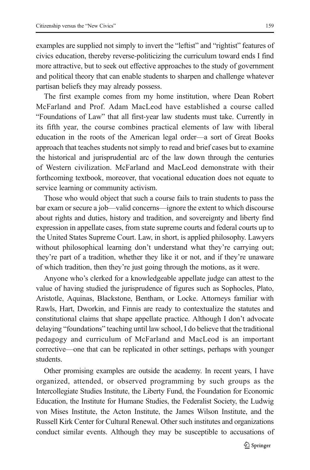examples are supplied not simply to invert the "leftist" and "rightist" features of civics education, thereby reverse-politicizing the curriculum toward ends I find more attractive, but to seek out effective approaches to the study of government and political theory that can enable students to sharpen and challenge whatever partisan beliefs they may already possess.

The first example comes from my home institution, where Dean Robert McFarland and Prof. Adam MacLeod have established a course called "Foundations of Law" that all first-year law students must take. Currently in its fifth year, the course combines practical elements of law with liberal education in the roots of the American legal order—a sort of Great Books approach that teaches students not simply to read and brief cases but to examine the historical and jurisprudential arc of the law down through the centuries of Western civilization. McFarland and MacLeod demonstrate with their forthcoming textbook, moreover, that vocational education does not equate to service learning or community activism.

Those who would object that such a course fails to train students to pass the bar exam or secure a job—valid concerns—ignore the extent to which discourse about rights and duties, history and tradition, and sovereignty and liberty find expression in appellate cases, from state supreme courts and federal courts up to the United States Supreme Court. Law, in short, is applied philosophy. Lawyers without philosophical learning don't understand what they're carrying out; they're part of a tradition, whether they like it or not, and if they're unaware of which tradition, then they're just going through the motions, as it were.

Anyone who's clerked for a knowledgeable appellate judge can attest to the value of having studied the jurisprudence of figures such as Sophocles, Plato, Aristotle, Aquinas, Blackstone, Bentham, or Locke. Attorneys familiar with Rawls, Hart, Dworkin, and Finnis are ready to contextualize the statutes and constitutional claims that shape appellate practice. Although I don't advocate delaying "foundations" teaching until law school, I do believe that the traditional pedagogy and curriculum of McFarland and MacLeod is an important corrective—one that can be replicated in other settings, perhaps with younger students.

Other promising examples are outside the academy. In recent years, I have organized, attended, or observed programming by such groups as the Intercollegiate Studies Institute, the Liberty Fund, the Foundation for Economic Education, the Institute for Humane Studies, the Federalist Society, the Ludwig von Mises Institute, the Acton Institute, the James Wilson Institute, and the Russell Kirk Center for Cultural Renewal. Other such institutes and organizations conduct similar events. Although they may be susceptible to accusations of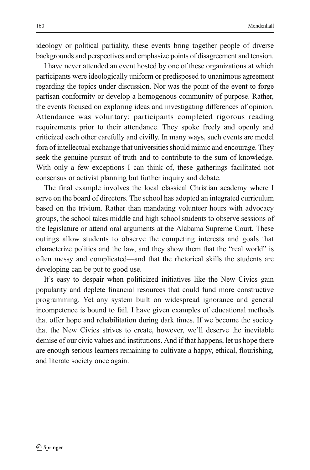ideology or political partiality, these events bring together people of diverse backgrounds and perspectives and emphasize points of disagreement and tension.

I have never attended an event hosted by one of these organizations at which participants were ideologically uniform or predisposed to unanimous agreement regarding the topics under discussion. Nor was the point of the event to forge partisan conformity or develop a homogenous community of purpose. Rather, the events focused on exploring ideas and investigating differences of opinion. Attendance was voluntary; participants completed rigorous reading requirements prior to their attendance. They spoke freely and openly and criticized each other carefully and civilly. In many ways, such events are model fora of intellectual exchange that universities should mimic and encourage. They seek the genuine pursuit of truth and to contribute to the sum of knowledge. With only a few exceptions I can think of, these gatherings facilitated not consensus or activist planning but further inquiry and debate.

The final example involves the local classical Christian academy where I serve on the board of directors. The school has adopted an integrated curriculum based on the trivium. Rather than mandating volunteer hours with advocacy groups, the school takes middle and high school students to observe sessions of the legislature or attend oral arguments at the Alabama Supreme Court. These outings allow students to observe the competing interests and goals that characterize politics and the law, and they show them that the "real world" is often messy and complicated—and that the rhetorical skills the students are developing can be put to good use.

It's easy to despair when politicized initiatives like the New Civics gain popularity and deplete financial resources that could fund more constructive programming. Yet any system built on widespread ignorance and general incompetence is bound to fail. I have given examples of educational methods that offer hope and rehabilitation during dark times. If we become the society that the New Civics strives to create, however, we'll deserve the inevitable demise of our civic values and institutions. And if that happens, let us hope there are enough serious learners remaining to cultivate a happy, ethical, flourishing, and literate society once again.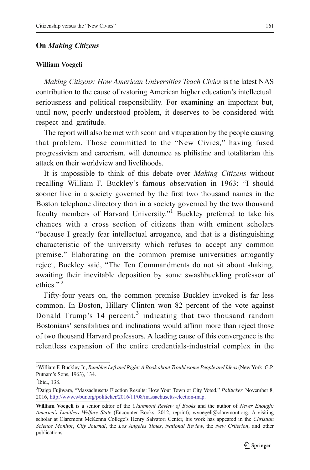### On Making Citizens

#### William Voegeli

Making Citizens: How American Universities Teach Civics is the latest NAS contribution to the cause of restoring American higher education's intellectual seriousness and political responsibility. For examining an important but, until now, poorly understood problem, it deserves to be considered with respect and gratitude.

The report will also be met with scorn and vituperation by the people causing that problem. Those committed to the "New Civics," having fused progressivism and careerism, will denounce as philistine and totalitarian this attack on their worldview and livelihoods.

It is impossible to think of this debate over *Making Citizens* without recalling William F. Buckley's famous observation in 1963: "I should sooner live in a society governed by the first two thousand names in the Boston telephone directory than in a society governed by the two thousand faculty members of Harvard University."<sup>1</sup> Buckley preferred to take his chances with a cross section of citizens than with eminent scholars "because I greatly fear intellectual arrogance, and that is a distinguishing characteristic of the university which refuses to accept any common premise." Elaborating on the common premise universities arrogantly reject, Buckley said, "The Ten Commandments do not sit about shaking, awaiting their inevitable deposition by some swashbuckling professor of ethics $"$ <sup>2</sup>

Fifty-four years on, the common premise Buckley invoked is far less common. In Boston, Hillary Clinton won 82 percent of the vote against Donald Trump's 14 percent,<sup>3</sup> indicating that two thousand random Bostonians' sensibilities and inclinations would affirm more than reject those of two thousand Harvard professors. A leading cause of this convergence is the relentless expansion of the entire credentials-industrial complex in the

<sup>&</sup>lt;sup>1</sup>William F. Buckley Jr., Rumbles Left and Right: A Book about Troublesome People and Ideas (New York: G.P. Putnam's Sons, 1963), 134.

<sup>2</sup> Ibid., 138.

<sup>&</sup>lt;sup>3</sup>Daigo Fujiwara, "Massachusetts Election Results: How Your Town or City Voted," Politicker, November 8, 2016, [http://www.wbur.org/politicker/2016/11/08/massachusetts-election-map.](http://www.wbur.org/politicker/2016/11/08/massachusetts-election-map)

William Voegeli is a senior editor of the Claremont Review of Books and the author of Never Enough: America's Limitless Welfare State (Encounter Books, 2012, reprint); wvoegeli@claremont.org. A visiting scholar at Claremont McKenna College's Henry Salvatori Center, his work has appeared in the Christian Science Monitor, City Journal, the Los Angeles Times, National Review, the New Criterion, and other publications.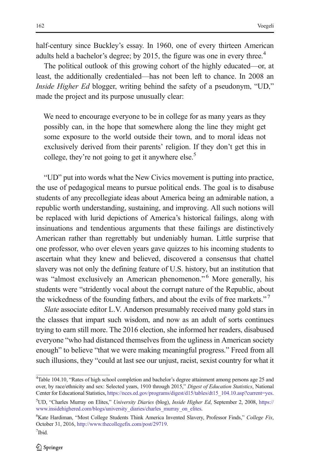half-century since Buckley's essay. In 1960, one of every thirteen American adults held a bachelor's degree; by 2015, the figure was one in every three.<sup>4</sup>

The political outlook of this growing cohort of the highly educated—or, at least, the additionally credentialed—has not been left to chance. In 2008 an Inside Higher Ed blogger, writing behind the safety of a pseudonym, "UD," made the project and its purpose unusually clear:

We need to encourage everyone to be in college for as many years as they possibly can, in the hope that somewhere along the line they might get some exposure to the world outside their town, and to moral ideas not exclusively derived from their parents' religion. If they don't get this in college, they're not going to get it anywhere else.<sup>5</sup>

"UD" put into words what the New Civics movement is putting into practice, the use of pedagogical means to pursue political ends. The goal is to disabuse students of any precollegiate ideas about America being an admirable nation, a republic worth understanding, sustaining, and improving. All such notions will be replaced with lurid depictions of America's historical failings, along with insinuations and tendentious arguments that these failings are distinctively American rather than regrettably but undeniably human. Little surprise that one professor, who over eleven years gave quizzes to his incoming students to ascertain what they knew and believed, discovered a consensus that chattel slavery was not only the defining feature of U.S. history, but an institution that was "almost exclusively an American phenomenon."<sup>6</sup> More generally, his students were "stridently vocal about the corrupt nature of the Republic, about the wickedness of the founding fathers, and about the evils of free markets."<sup>7</sup>

Slate associate editor L.V. Anderson presumably received many gold stars in the classes that impart such wisdom, and now as an adult of sorts continues trying to earn still more. The 2016 election, she informed her readers, disabused everyone "who had distanced themselves from the ugliness in American society enough" to believe "that we were making meaningful progress." Freed from all such illusions, they "could at last see our unjust, racist, sexist country for what it

<sup>&</sup>lt;sup>4</sup>Table 104.10, "Rates of high school completion and bachelor's degree attainment among persons age 25 and over, by race/ethnicity and sex: Selected years, 1910 through 2015," Digest of Education Statistics, National Center for Educational Statistics, [https://nces.ed.gov/programs/digest/d15/tables/dt15\\_104.10.asp?current=yes](https://nces.ed.gov/programs/digest/d15/tables/dt15_104.10.asp?current=yes).

<sup>&</sup>lt;sup>5</sup>UD, "Charles Murray on Elites," University Diaries (blog), Inside Higher Ed, September 2, 2008, [https://](https://www.insidehighered.com/blogs/university_diaries/charles_murray_on_elites) [www.insidehighered.com/blogs/university\\_diaries/charles\\_murray\\_on\\_elites.](https://www.insidehighered.com/blogs/university_diaries/charles_murray_on_elites)

<sup>&</sup>lt;sup>6</sup>Kate Hardiman, "Most College Students Think America Invented Slavery, Professor Finds," College Fix, October 31, 2016, <http://www.thecollegefix.com/post/29719>.

<sup>7</sup> Ibid.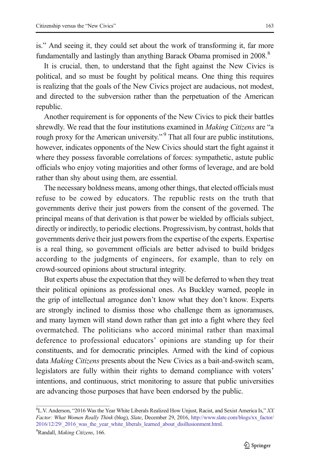is." And seeing it, they could set about the work of transforming it, far more fundamentally and lastingly than anything Barack Obama promised in 2008.<sup>8</sup>

It is crucial, then, to understand that the fight against the New Civics is political, and so must be fought by political means. One thing this requires is realizing that the goals of the New Civics project are audacious, not modest, and directed to the subversion rather than the perpetuation of the American republic.

Another requirement is for opponents of the New Civics to pick their battles shrewdly. We read that the four institutions examined in *Making Citizens* are "a rough proxy for the American university."<sup>9</sup> That all four are public institutions, however, indicates opponents of the New Civics should start the fight against it where they possess favorable correlations of forces: sympathetic, astute public officials who enjoy voting majorities and other forms of leverage, and are bold rather than shy about using them, are essential.

The necessary boldness means, among other things, that elected officials must refuse to be cowed by educators. The republic rests on the truth that governments derive their just powers from the consent of the governed. The principal means of that derivation is that power be wielded by officials subject, directly or indirectly, to periodic elections. Progressivism, by contrast, holds that governments derive their just powers from the expertise of the experts. Expertise is a real thing, so government officials are better advised to build bridges according to the judgments of engineers, for example, than to rely on crowd-sourced opinions about structural integrity.

But experts abuse the expectation that they will be deferred to when they treat their political opinions as professional ones. As Buckley warned, people in the grip of intellectual arrogance don't know what they don't know. Experts are strongly inclined to dismiss those who challenge them as ignoramuses, and many laymen will stand down rather than get into a fight where they feel overmatched. The politicians who accord minimal rather than maximal deference to professional educators' opinions are standing up for their constituents, and for democratic principles. Armed with the kind of copious data *Making Citizens* presents about the New Civics as a bait-and-switch scam, legislators are fully within their rights to demand compliance with voters' intentions, and continuous, strict monitoring to assure that public universities are advancing those purposes that have been endorsed by the public.

<sup>&</sup>lt;sup>8</sup>L.V. Anderson, "2016 Was the Year White Liberals Realized How Unjust, Racist, and Sexist America Is," XX Factor: What Women Really Think (blog), Slate, December 29, 2016, [http://www.slate.com/blogs/xx\\_factor/](http://www.slate.com/blogs/xx_factor/2016/12/29/_2016_was_the_year_white_liberals_learned_about_disillusionment.html) 2016/12/29/ 2016 was the year white liberals learned about disillusionment.html.

<sup>&</sup>lt;sup>9</sup> Randall, Making Citizens, 166.